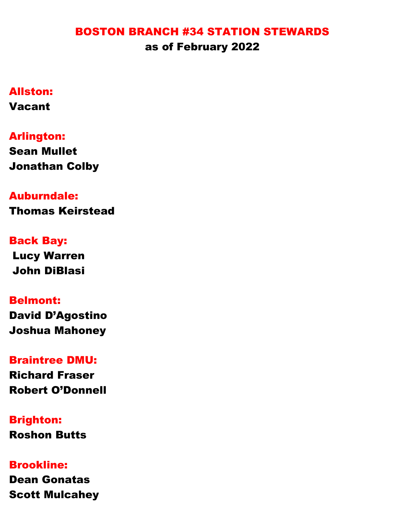#### BOSTON BRANCH #34 STATION STEWARDS as of February 2022

## Allston:

Vacant

# Arlington:

Sean Mullet Jonathan Colby

## Auburndale:

Thomas Keirstead

# Back Bay:

Lucy Warren John DiBlasi

### Belmont:

David D'Agostino Joshua Mahoney

#### Braintree DMU:

Richard Fraser Robert O'Donnell

# Brighton:

Roshon Butts

## Brookline:

Dean Gonatas Scott Mulcahey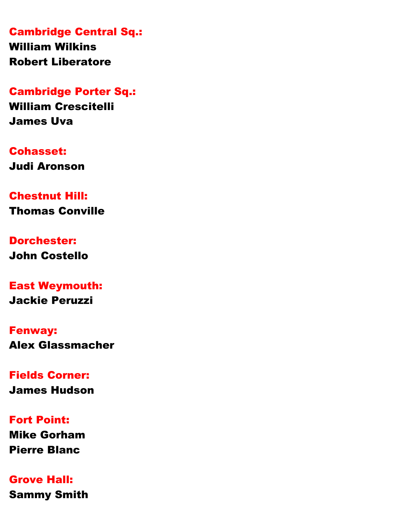Cambridge Central Sq.: William Wilkins

Robert Liberatore

Cambridge Porter Sq.:

William Crescitelli James Uva

Cohasset: Judi Aronson

Chestnut Hill: Thomas Conville

Dorchester: John Costello

East Weymouth: Jackie Peruzzi

Fenway: Alex Glassmacher

Fields Corner: James Hudson

Fort Point: Mike Gorham Pierre Blanc

Grove Hall: Sammy Smith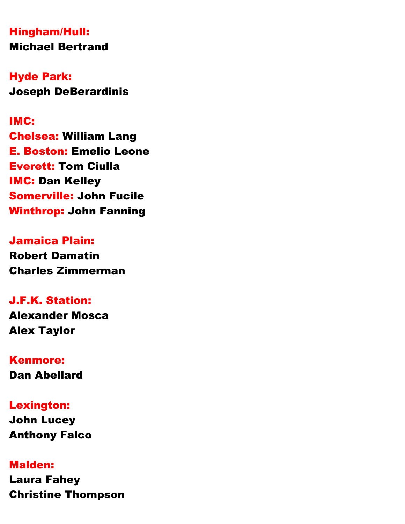## Hingham/Hull: Michael Bertrand

Hyde Park: Joseph DeBerardinis

#### IMC:

Chelsea: William Lang E. Boston: Emelio Leone Everett: Tom Ciulla IMC: Dan Kelley Somerville: John Fucile Winthrop: John Fanning

#### Jamaica Plain:

Robert Damatin Charles Zimmerman

## J.F.K. Station:

Alexander Mosca Alex Taylor

### Kenmore:

Dan Abellard

### Lexington:

John Lucey Anthony Falco

### Malden:

Laura Fahey Christine Thompson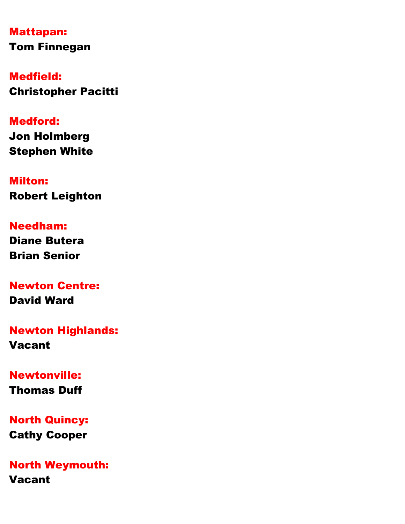Mattapan: Tom Finnegan

Medfield: Christopher Pacitti

#### Medford:

Jon Holmberg Stephen White

Milton:

Robert Leighton

# Needham:

Diane Butera Brian Senior

# Newton Centre:

David Ward

## Newton Highlands: Vacant

### Newtonville:

Thomas Duff

## North Quincy:

Cathy Cooper

## North Weymouth:

Vacant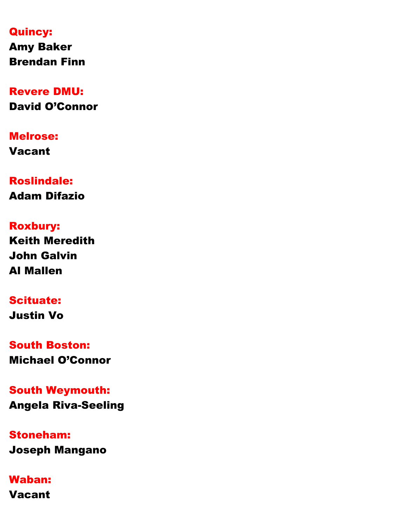#### Quincy:

Amy Baker Brendan Finn

# Revere DMU:

David O'Connor

# Melrose:

Vacant

# Roslindale: Adam Difazio

# Roxbury:

Keith Meredith John Galvin Al Mallen

### Scituate: Justin Vo

South Boston: Michael O'Connor

# South Weymouth: Angela Riva-Seeling

# Stoneham: Joseph Mangano

# Waban:

Vacant